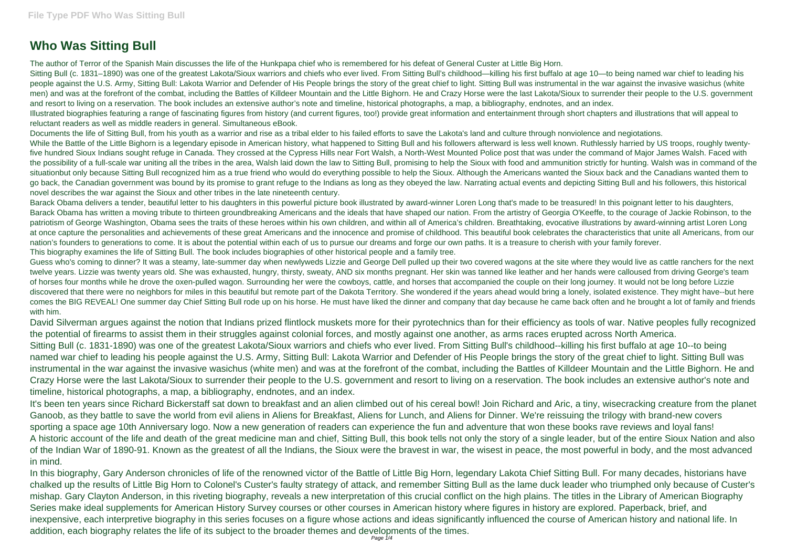## **Who Was Sitting Bull**

The author of Terror of the Spanish Main discusses the life of the Hunkpapa chief who is remembered for his defeat of General Custer at Little Big Horn. Sitting Bull (c. 1831–1890) was one of the greatest Lakota/Sioux warriors and chiefs who ever lived. From Sitting Bull's childhood—killing his first buffalo at age 10—to being named war chief to leading his people against the U.S. Army, Sitting Bull: Lakota Warrior and Defender of His People brings the story of the great chief to light. Sitting Bull was instrumental in the war against the invasive wasichus (white men) and was at the forefront of the combat, including the Battles of Killdeer Mountain and the Little Bighorn. He and Crazy Horse were the last Lakota/Sioux to surrender their people to the U.S. government and resort to living on a reservation. The book includes an extensive author's note and timeline, historical photographs, a map, a bibliography, endnotes, and an index. Illustrated biographies featuring a range of fascinating figures from history (and current figures, too!) provide great information and entertainment through short chapters and illustrations that will appeal to reluctant readers as well as middle readers in general. Simultaneous eBook.

Documents the life of Sitting Bull, from his youth as a warrior and rise as a tribal elder to his failed efforts to save the Lakota's land and culture through nonviolence and negiotations. While the Battle of the Little Bighorn is a legendary episode in American history, what happened to Sitting Bull and his followers afterward is less well known. Ruthlessly harried by US troops, roughly twentyfive hundred Sioux Indians sought refuge in Canada. They crossed at the Cypress Hills near Fort Walsh, a North-West Mounted Police post that was under the command of Major James Walsh. Faced with the possibility of a full-scale war uniting all the tribes in the area, Walsh laid down the law to Sitting Bull, promising to help the Sioux with food and ammunition strictly for hunting. Walsh was in command of the situationbut only because Sitting Bull recognized him as a true friend who would do everything possible to help the Sioux. Although the Americans wanted the Sioux back and the Canadians wanted them to go back, the Canadian government was bound by its promise to grant refuge to the Indians as long as they obeyed the law. Narrating actual events and depicting Sitting Bull and his followers, this historical novel describes the war against the Sioux and other tribes in the late nineteenth century.

Guess who's coming to dinner? It was a steamy, late-summer day when newlyweds Lizzie and George Dell pulled up their two covered wagons at the site where they would live as cattle ranchers for the next twelve years. Lizzie was twenty years old. She was exhausted, hungry, thirsty, sweaty, AND six months pregnant. Her skin was tanned like leather and her hands were calloused from driving George's team of horses four months while he drove the oxen-pulled wagon. Surrounding her were the cowboys, cattle, and horses that accompanied the couple on their long journey. It would not be long before Lizzie discovered that there were no neighbors for miles in this beautiful but remote part of the Dakota Territory. She wondered if the years ahead would bring a lonely, isolated existence. They might have--but here comes the BIG REVEAL! One summer day Chief Sitting Bull rode up on his horse. He must have liked the dinner and company that day because he came back often and he brought a lot of family and friends with him.

David Silverman argues against the notion that Indians prized flintlock muskets more for their pyrotechnics than for their efficiency as tools of war. Native peoples fully recognized the potential of firearms to assist them in their struggles against colonial forces, and mostly against one another, as arms races erupted across North America. Sitting Bull (c. 1831-1890) was one of the greatest Lakota/Sioux warriors and chiefs who ever lived. From Sitting Bull's childhood--killing his first buffalo at age 10--to being named war chief to leading his people against the U.S. Army, Sitting Bull: Lakota Warrior and Defender of His People brings the story of the great chief to light. Sitting Bull was instrumental in the war against the invasive wasichus (white men) and was at the forefront of the combat, including the Battles of Killdeer Mountain and the Little Bighorn. He and Crazy Horse were the last Lakota/Sioux to surrender their people to the U.S. government and resort to living on a reservation. The book includes an extensive author's note and timeline, historical photographs, a map, a bibliography, endnotes, and an index.

Barack Obama delivers a tender, beautiful letter to his daughters in this powerful picture book illustrated by award-winner Loren Long that's made to be treasured! In this poignant letter to his daughters, Barack Obama has written a moving tribute to thirteen groundbreaking Americans and the ideals that have shaped our nation. From the artistry of Georgia O'Keeffe, to the courage of Jackie Robinson, to the patriotism of George Washington, Obama sees the traits of these heroes within his own children, and within all of America's children. Breathtaking, evocative illustrations by award-winning artist Loren Long at once capture the personalities and achievements of these great Americans and the innocence and promise of childhood. This beautiful book celebrates the characteristics that unite all Americans, from our nation's founders to generations to come. It is about the potential within each of us to pursue our dreams and forge our own paths. It is a treasure to cherish with your family forever. This biography examines the life of Sitting Bull. The book includes biographies of other historical people and a family tree.

It's been ten years since Richard Bickerstaff sat down to breakfast and an alien climbed out of his cereal bowl! Join Richard and Aric, a tiny, wisecracking creature from the planet Ganoob, as they battle to save the world from evil aliens in Aliens for Breakfast, Aliens for Lunch, and Aliens for Dinner. We're reissuing the trilogy with brand-new covers sporting a space age 10th Anniversary logo. Now a new generation of readers can experience the fun and adventure that won these books rave reviews and loyal fans! A historic account of the life and death of the great medicine man and chief, Sitting Bull, this book tells not only the story of a single leader, but of the entire Sioux Nation and also of the Indian War of 1890-91. Known as the greatest of all the Indians, the Sioux were the bravest in war, the wisest in peace, the most powerful in body, and the most advanced in mind.

In this biography, Gary Anderson chronicles of life of the renowned victor of the Battle of Little Big Horn, legendary Lakota Chief Sitting Bull. For many decades, historians have chalked up the results of Little Big Horn to Colonel's Custer's faulty strategy of attack, and remember Sitting Bull as the lame duck leader who triumphed only because of Custer's mishap. Gary Clayton Anderson, in this riveting biography, reveals a new interpretation of this crucial conflict on the high plains. The titles in the Library of American Biography Series make ideal supplements for American History Survey courses or other courses in American history where figures in history are explored. Paperback, brief, and inexpensive, each interpretive biography in this series focuses on a figure whose actions and ideas significantly influenced the course of American history and national life. In addition, each biography relates the life of its subject to the broader themes and developments of the times.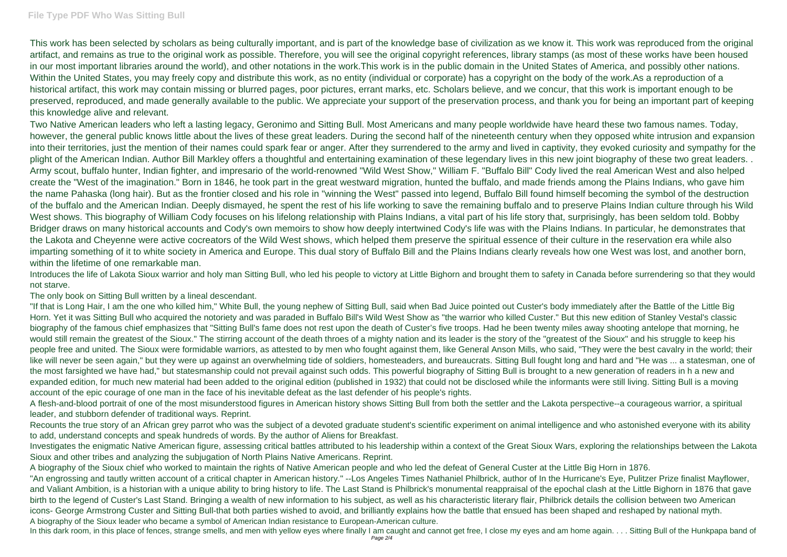This work has been selected by scholars as being culturally important, and is part of the knowledge base of civilization as we know it. This work was reproduced from the original artifact, and remains as true to the original work as possible. Therefore, you will see the original copyright references, library stamps (as most of these works have been housed in our most important libraries around the world), and other notations in the work.This work is in the public domain in the United States of America, and possibly other nations. Within the United States, you may freely copy and distribute this work, as no entity (individual or corporate) has a copyright on the body of the work.As a reproduction of a historical artifact, this work may contain missing or blurred pages, poor pictures, errant marks, etc. Scholars believe, and we concur, that this work is important enough to be preserved, reproduced, and made generally available to the public. We appreciate your support of the preservation process, and thank you for being an important part of keeping this knowledge alive and relevant.

Two Native American leaders who left a lasting legacy, Geronimo and Sitting Bull. Most Americans and many people worldwide have heard these two famous names. Today, however, the general public knows little about the lives of these great leaders. During the second half of the nineteenth century when they opposed white intrusion and expansion into their territories, just the mention of their names could spark fear or anger. After they surrendered to the army and lived in captivity, they evoked curiosity and sympathy for the plight of the American Indian. Author Bill Markley offers a thoughtful and entertaining examination of these legendary lives in this new joint biography of these two great leaders. . Army scout, buffalo hunter, Indian fighter, and impresario of the world-renowned "Wild West Show," William F. "Buffalo Bill" Cody lived the real American West and also helped create the "West of the imagination." Born in 1846, he took part in the great westward migration, hunted the buffalo, and made friends among the Plains Indians, who gave him the name Pahaska (long hair). But as the frontier closed and his role in "winning the West" passed into legend, Buffalo Bill found himself becoming the symbol of the destruction of the buffalo and the American Indian. Deeply dismayed, he spent the rest of his life working to save the remaining buffalo and to preserve Plains Indian culture through his Wild West shows. This biography of William Cody focuses on his lifelong relationship with Plains Indians, a vital part of his life story that, surprisingly, has been seldom told. Bobby Bridger draws on many historical accounts and Cody's own memoirs to show how deeply intertwined Cody's life was with the Plains Indians. In particular, he demonstrates that the Lakota and Cheyenne were active cocreators of the Wild West shows, which helped them preserve the spiritual essence of their culture in the reservation era while also imparting something of it to white society in America and Europe. This dual story of Buffalo Bill and the Plains Indians clearly reveals how one West was lost, and another born, within the lifetime of one remarkable man.

Introduces the life of Lakota Sioux warrior and holy man Sitting Bull, who led his people to victory at Little Bighorn and brought them to safety in Canada before surrendering so that they would not starve.

The only book on Sitting Bull written by a lineal descendant.

In this dark room, in this place of fences, strange smells, and men with yellow eyes where finally I am caught and cannot get free, I close my eyes and am home again. . . . Sitting Bull of the Hunkpapa band of Page 2/4

"If that is Long Hair, I am the one who killed him," White Bull, the young nephew of Sitting Bull, said when Bad Juice pointed out Custer's body immediately after the Battle of the Little Big Horn. Yet it was Sitting Bull who acquired the notoriety and was paraded in Buffalo Bill's Wild West Show as "the warrior who killed Custer." But this new edition of Stanley Vestal's classic biography of the famous chief emphasizes that "Sitting Bull's fame does not rest upon the death of Custer's five troops. Had he been twenty miles away shooting antelope that morning, he would still remain the greatest of the Sioux." The stirring account of the death throes of a mighty nation and its leader is the story of the "greatest of the Sioux" and his struggle to keep his people free and united. The Sioux were formidable warriors, as attested to by men who fought against them, like General Anson Mills, who said, "They were the best cavalry in the world; their like will never be seen again," but they were up against an overwhelming tide of soldiers, homesteaders, and bureaucrats. Sitting Bull fought long and hard and "He was ... a statesman, one of the most farsighted we have had," but statesmanship could not prevail against such odds. This powerful biography of Sitting Bull is brought to a new generation of readers in h a new and expanded edition, for much new material had been added to the original edition (published in 1932) that could not be disclosed while the informants were still living. Sitting Bull is a moving account of the epic courage of one man in the face of his inevitable defeat as the last defender of his people's rights.

A flesh-and-blood portrait of one of the most misunderstood figures in American history shows Sitting Bull from both the settler and the Lakota perspective--a courageous warrior, a spiritual leader, and stubborn defender of traditional ways. Reprint.

Recounts the true story of an African grey parrot who was the subject of a devoted graduate student's scientific experiment on animal intelligence and who astonished everyone with its ability to add, understand concepts and speak hundreds of words. By the author of Aliens for Breakfast.

Investigates the enigmatic Native American figure, assessing critical battles attributed to his leadership within a context of the Great Sioux Wars, exploring the relationships between the Lakota Sioux and other tribes and analyzing the subjugation of North Plains Native Americans. Reprint.

A biography of the Sioux chief who worked to maintain the rights of Native American people and who led the defeat of General Custer at the Little Big Horn in 1876. "An engrossing and tautly written account of a critical chapter in American history." --Los Angeles Times Nathaniel Philbrick, author of In the Hurricane's Eye, Pulitzer Prize finalist Mayflower, and Valiant Ambition, is a historian with a unique ability to bring history to life. The Last Stand is Philbrick's monumental reappraisal of the epochal clash at the Little Bighorn in 1876 that gave birth to the legend of Custer's Last Stand. Bringing a wealth of new information to his subject, as well as his characteristic literary flair, Philbrick details the collision between two American icons- George Armstrong Custer and Sitting Bull-that both parties wished to avoid, and brilliantly explains how the battle that ensued has been shaped and reshaped by national myth. A biography of the Sioux leader who became a symbol of American Indian resistance to European-American culture.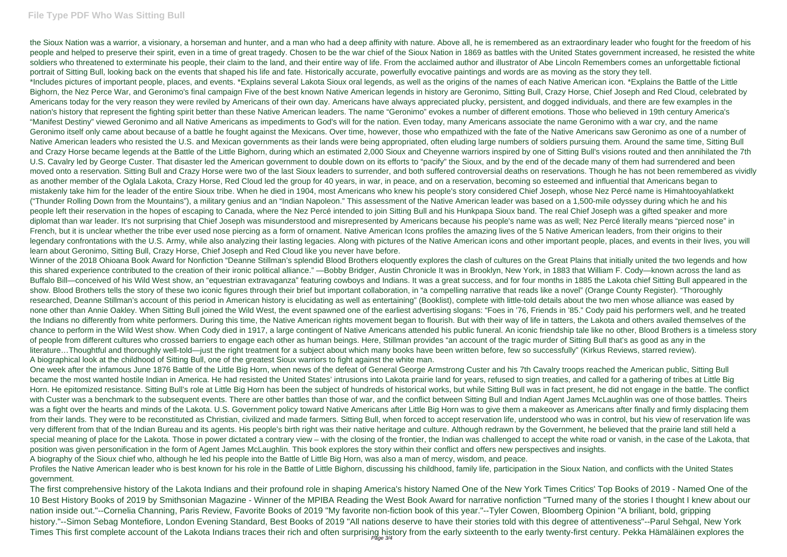## **File Type PDF Who Was Sitting Bull**

the Sioux Nation was a warrior, a visionary, a horseman and hunter, and a man who had a deep affinity with nature. Above all, he is remembered as an extraordinary leader who fought for the freedom of his people and helped to preserve their spirit, even in a time of great tragedy. Chosen to be the war chief of the Sioux Nation in 1869 as battles with the United States government increased, he resisted the white soldiers who threatened to exterminate his people, their claim to the land, and their entire way of life. From the acclaimed author and illustrator of Abe Lincoln Remembers comes an unforgettable fictional portrait of Sitting Bull, looking back on the events that shaped his life and fate. Historically accurate, powerfully evocative paintings and words are as moving as the story they tell. \*Includes pictures of important people, places, and events. \*Explains several Lakota Sioux oral legends, as well as the origins of the names of each Native American icon. \*Explains the Battle of the Little Bighorn, the Nez Perce War, and Geronimo's final campaign Five of the best known Native American legends in history are Geronimo, Sitting Bull, Crazy Horse, Chief Joseph and Red Cloud, celebrated by Americans today for the very reason they were reviled by Americans of their own day. Americans have always appreciated plucky, persistent, and dogged individuals, and there are few examples in the nation's history that represent the fighting spirit better than these Native American leaders. The name "Geronimo" evokes a number of different emotions. Those who believed in 19th century America's "Manifest Destiny" viewed Geronimo and all Native Americans as impediments to God's will for the nation. Even today, many Americans associate the name Geronimo with a war cry, and the name Geronimo itself only came about because of a battle he fought against the Mexicans. Over time, however, those who empathized with the fate of the Native Americans saw Geronimo as one of a number of Native American leaders who resisted the U.S. and Mexican governments as their lands were being appropriated, often eluding large numbers of soldiers pursuing them. Around the same time, Sitting Bull and Crazy Horse became legends at the Battle of the Little Bighorn, during which an estimated 2,000 Sioux and Cheyenne warriors inspired by one of Sitting Bull's visions routed and then annihilated the 7th U.S. Cavalry led by George Custer. That disaster led the American government to double down on its efforts to "pacify" the Sioux, and by the end of the decade many of them had surrendered and been moved onto a reservation. Sitting Bull and Crazy Horse were two of the last Sioux leaders to surrender, and both suffered controversial deaths on reservations. Though he has not been remembered as vividly as another member of the Oglala Lakota, Crazy Horse, Red Cloud led the group for 40 years, in war, in peace, and on a reservation, becoming so esteemed and influential that Americans began to mistakenly take him for the leader of the entire Sioux tribe. When he died in 1904, most Americans who knew his people's story considered Chief Joseph, whose Nez Percé name is Himahtooyahlatkekt ("Thunder Rolling Down from the Mountains"), a military genius and an "Indian Napoleon." This assessment of the Native American leader was based on a 1,500-mile odyssey during which he and his people left their reservation in the hopes of escaping to Canada, where the Nez Percé intended to join Sitting Bull and his Hunkpapa Sioux band. The real Chief Joseph was a gifted speaker and more diplomat than war leader. It's not surprising that Chief Joseph was misunderstood and misrepresented by Americans because his people's name was as well; Nez Percé literally means "pierced nose" in French, but it is unclear whether the tribe ever used nose piercing as a form of ornament. Native American Icons profiles the amazing lives of the 5 Native American leaders, from their origins to their legendary confrontations with the U.S. Army, while also analyzing their lasting legacies. Along with pictures of the Native American icons and other important people, places, and events in their lives, you will learn about Geronimo, Sitting Bull, Crazy Horse, Chief Joseph and Red Cloud like you never have before.

Profiles the Native American leader who is best known for his role in the Battle of Little Bighorn, discussing his childhood, family life, participation in the Sioux Nation, and conflicts with the United States government.

The first comprehensive history of the Lakota Indians and their profound role in shaping America's history Named One of the New York Times Critics' Top Books of 2019 - Named One of the 10 Best History Books of 2019 by Smithsonian Magazine - Winner of the MPIBA Reading the West Book Award for narrative nonfiction "Turned many of the stories I thought I knew about our nation inside out."--Cornelia Channing, Paris Review, Favorite Books of 2019 "My favorite non-fiction book of this year."--Tyler Cowen, Bloomberg Opinion "A briliant, bold, gripping history."--Simon Sebag Montefiore, London Evening Standard, Best Books of 2019 "All nations deserve to have their stories told with this degree of attentiveness"--Parul Sehgal, New York Times This first complete account of the Lakota Indians traces their rich and often surprising history from the early sixteenth to the early twenty-first century. Pekka Hämäläinen explores the

Winner of the 2018 Ohioana Book Award for Nonfiction "Deanne Stillman's splendid Blood Brothers eloquently explores the clash of cultures on the Great Plains that initially united the two legends and how this shared experience contributed to the creation of their ironic political alliance." —Bobby Bridger, Austin Chronicle It was in Brooklyn, New York, in 1883 that William F. Cody—known across the land as Buffalo Bill—conceived of his Wild West show, an "equestrian extravaganza" featuring cowboys and Indians. It was a great success, and for four months in 1885 the Lakota chief Sitting Bull appeared in the show. Blood Brothers tells the story of these two iconic figures through their brief but important collaboration, in "a compelling narrative that reads like a novel" (Orange County Register). "Thoroughly researched, Deanne Stillman's account of this period in American history is elucidating as well as entertaining" (Booklist), complete with little-told details about the two men whose alliance was eased by none other than Annie Oakley. When Sitting Bull joined the Wild West, the event spawned one of the earliest advertising slogans: "Foes in '76, Friends in '85." Cody paid his performers well, and he treated the Indians no differently from white performers. During this time, the Native American rights movement began to flourish. But with their way of life in tatters, the Lakota and others availed themselves of the chance to perform in the Wild West show. When Cody died in 1917, a large contingent of Native Americans attended his public funeral. An iconic friendship tale like no other, Blood Brothers is a timeless story of people from different cultures who crossed barriers to engage each other as human beings. Here, Stillman provides "an account of the tragic murder of Sitting Bull that's as good as any in the literature…Thoughtful and thoroughly well-told—just the right treatment for a subject about which many books have been written before, few so successfully" (Kirkus Reviews, starred review). A biographical look at the childhood of Sitting Bull, one of the greatest Sioux warriors to fight against the white man.

One week after the infamous June 1876 Battle of the Little Big Horn, when news of the defeat of General George Armstrong Custer and his 7th Cavalry troops reached the American public, Sitting Bull became the most wanted hostile Indian in America. He had resisted the United States' intrusions into Lakota prairie land for years, refused to sign treaties, and called for a gathering of tribes at Little Big Horn. He epitomized resistance. Sitting Bull's role at Little Big Horn has been the subject of hundreds of historical works, but while Sitting Bull was in fact present, he did not engage in the battle. The conflict with Custer was a benchmark to the subsequent events. There are other battles than those of war, and the conflict between Sitting Bull and Indian Agent James McLaughlin was one of those battles. Theirs was a fight over the hearts and minds of the Lakota. U.S. Government policy toward Native Americans after Little Big Horn was to give them a makeover as Americans after finally and firmly displacing them from their lands. They were to be reconstituted as Christian, civilized and made farmers. Sitting Bull, when forced to accept reservation life, understood who was in control, but his view of reservation life was very different from that of the Indian Bureau and its agents. His people's birth right was their native heritage and culture. Although redrawn by the Government, he believed that the prairie land still held a special meaning of place for the Lakota. Those in power dictated a contrary view – with the closing of the frontier, the Indian was challenged to accept the white road or vanish, in the case of the Lakota, that position was given personification in the form of Agent James McLaughlin. This book explores the story within their conflict and offers new perspectives and insights. A biography of the Sioux chief who, although he led his people into the Battle of Little Big Horn, was also a man of mercy, wisdom, and peace.